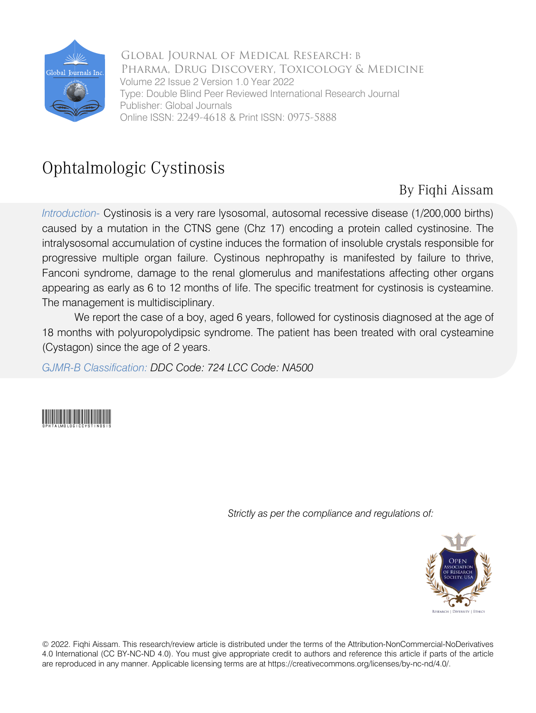

Global Journal of Medical Research: B Pharma, Drug Discovery, Toxicology & Medicine Volume 22 Issue 2 Version 1.0 Year 2022 Type: Double Blind Peer Reviewed International Research Journal Publisher: Global Journals Online ISSN: 2249-4618 & Print ISSN: 0975-5888

## Ophtalmologic Cystinosis

### By Fiqhi Aissam

*Introduction-* Cystinosis is a very rare lysosomal, autosomal recessive disease (1/200,000 births) caused by a mutation in the CTNS gene (Chz 17) encoding a protein called cystinosine. The intralysosomal accumulation of cystine induces the formation of insoluble crystals responsible for progressive multiple organ failure. Cystinous nephropathy is manifested by failure to thrive, Fanconi syndrome, damage to the renal glomerulus and manifestations affecting other organs appearing as early as 6 to 12 months of life. The specific treatment for cystinosis is cysteamine. The management is multidisciplinary.

We report the case of a boy, aged 6 years, followed for cystinosis diagnosed at the age of 18 months with polyuropolydipsic syndrome. The patient has been treated with oral cysteamine (Cystagon) since the age of 2 years.

*GJMR-B Classification: DDC Code: 724 LCC Code: NA500*



*Strictly as per the compliance and regulations of:*



© 2022. Fiqhi Aissam. This research/review article is distributed under the terms of the Attribution-NonCommercial-NoDerivatives 4.0 International (CC BY-NC-ND 4.0). You must give appropriate credit to authors and reference this article if parts of the article are reproduced in any manner. Applicable licensing terms are at https://creativecommons.org/licenses/by-nc-nd/4.0/.